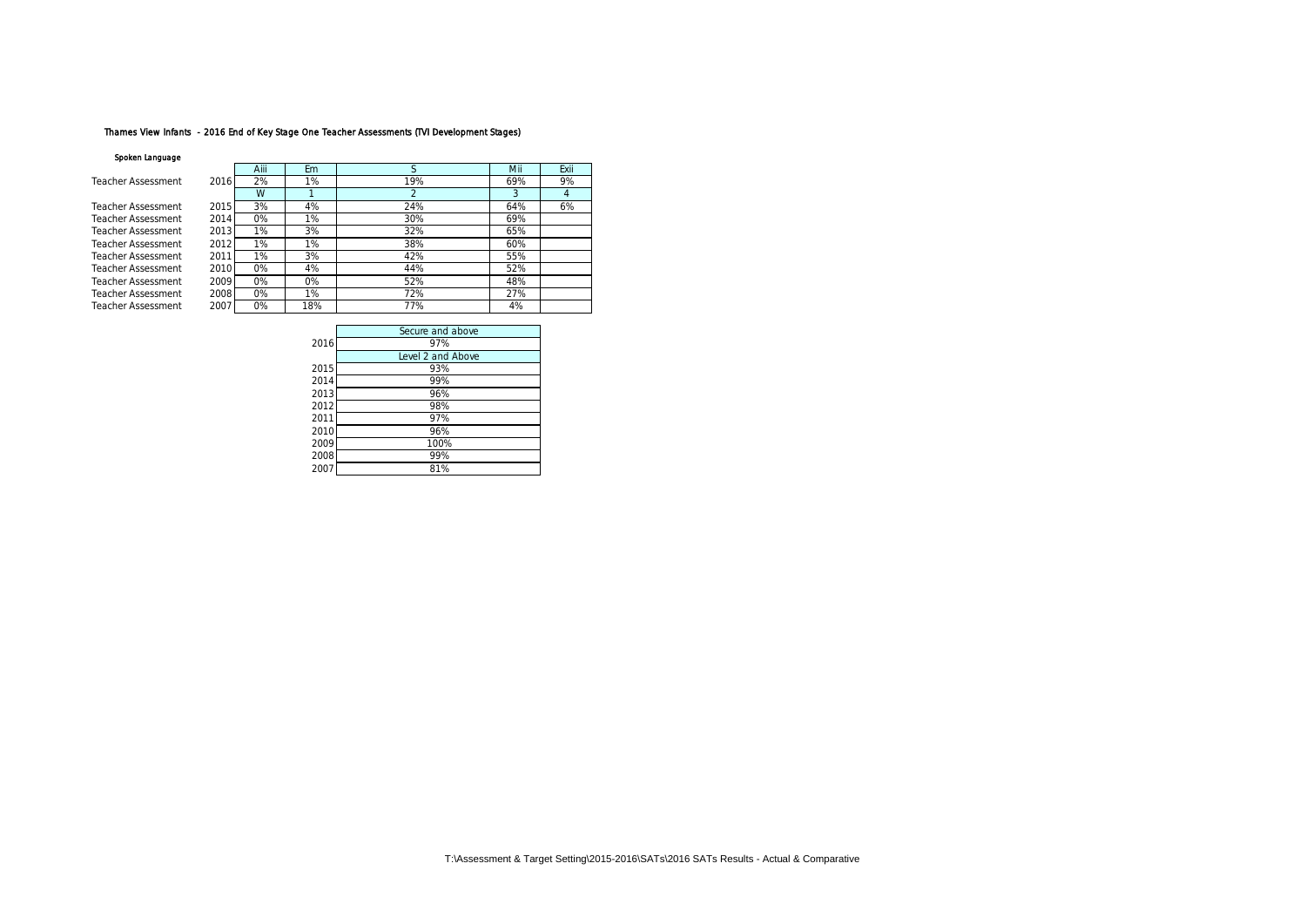# Thames View Infants - 2016 End of Key Stage One Teacher Assessments (TVI Development Stages)

#### Spoken Language

|                    |      | Aiii | Fm    |     | Mii | Fxii |
|--------------------|------|------|-------|-----|-----|------|
| Teacher Assessment | 2016 | 2%   | 1%    | 19% | 69% | 9%   |
|                    |      | W    |       |     |     |      |
| Teacher Assessment | 2015 | 3%   | 4%    | 24% | 64% | 6%   |
| Teacher Assessment | 2014 | O%   | 1%    | 30% | 69% |      |
| Teacher Assessment | 2013 | 1%   | 3%    | 32% | 65% |      |
| Teacher Assessment | 2012 | 1%   | 1%    | 38% | 60% |      |
| Teacher Assessment | 2011 | 1%   | 3%    | 42% | 55% |      |
| Teacher Assessment | 2010 | O%   | 4%    | 44% | 52% |      |
| Teacher Assessment | 2009 | O%   | $0\%$ | 52% | 48% |      |
| Teacher Assessment | 2008 | 0%   | 1%    | 72% | 27% |      |
| Teacher Assessment | 2007 | O%   | 18%   | 77% | 4%  |      |

|      | Secure and above  |
|------|-------------------|
| 2016 | 97%               |
|      | Level 2 and Above |
| 2015 | 93%               |
| 2014 | 99%               |
| 2013 | 96%               |
| 2012 | 98%               |
| 2011 | 97%               |
| 2010 | 96%               |
| 2009 | 100%              |
| 2008 | 99%               |
| 2007 | 81%               |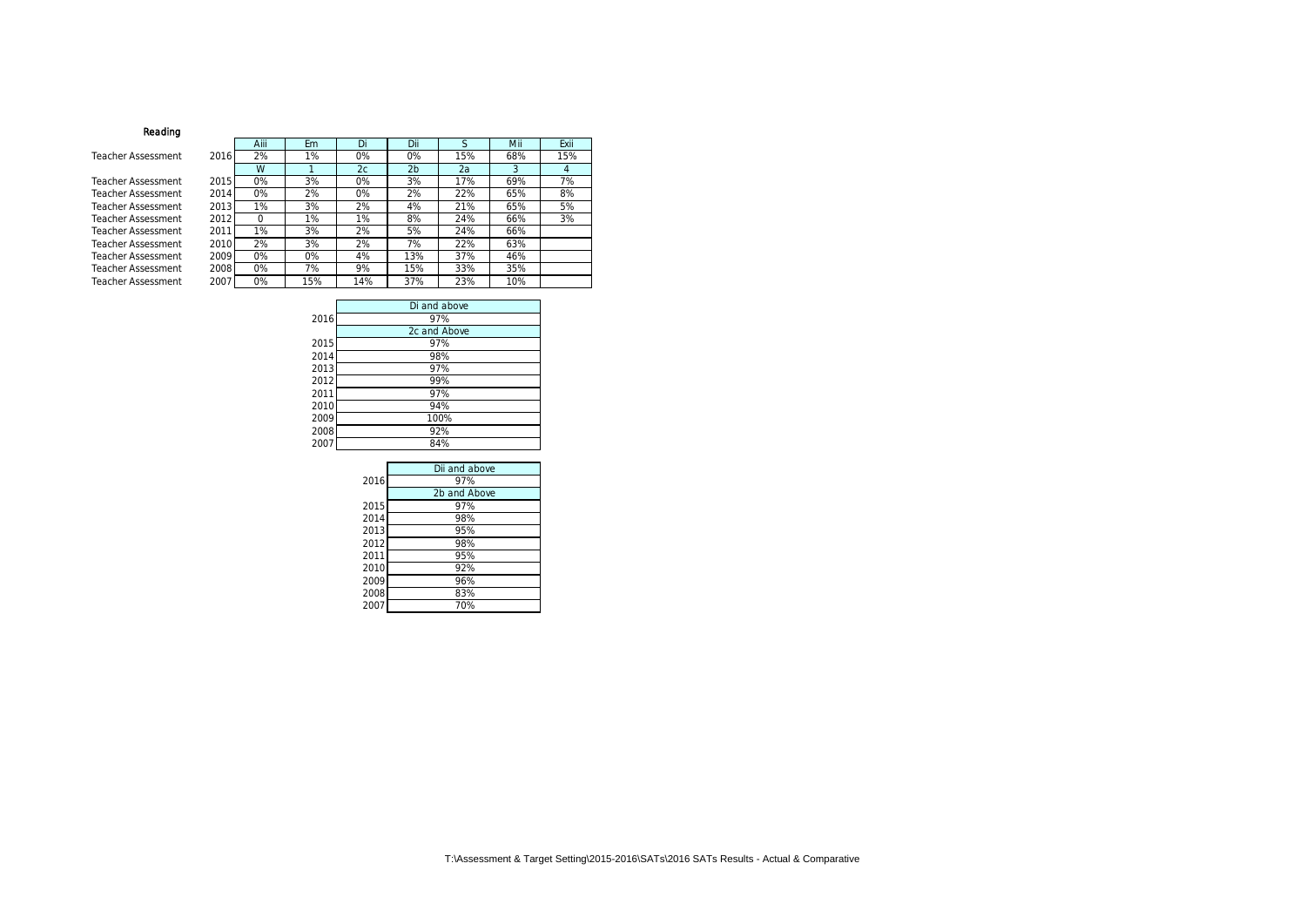### Reading

Teacher Assessment

Teacher Assessment Teacher Assessment Teacher Assessment Teacher Assessment Teacher Assessment 2011 **Teacher Assessment** Teacher Assessment 2009 Teacher Assessment 2008 Teacher Assessment 2007

|      | Aiii | Em  | Di  | Dii            | S   | Mii | Exii |
|------|------|-----|-----|----------------|-----|-----|------|
| 2016 | 2%   | 1%  | 0%  | 0%             | 15% | 68% | 15%  |
|      | W    |     | 2c  | 2 <sub>b</sub> | 2a  | 3   | 4    |
| 2015 | 0%   | 3%  | 0%  | 3%             | 17% | 69% | 7%   |
| 2014 | 0%   | 2%  | 0%  | 2%             | 22% | 65% | 8%   |
| 2013 | 1%   | 3%  | 2%  | 4%             | 21% | 65% | 5%   |
| 2012 | O    | 1%  | 1%  | 8%             | 24% | 66% | 3%   |
| 2011 | 1%   | 3%  | 2%  | 5%             | 24% | 66% |      |
| 2010 | 2%   | 3%  | 2%  | 7%             | 22% | 63% |      |
| 2009 | 0%   | 0%  | 4%  | 13%            | 37% | 46% |      |
| 2008 | 0%   | 7%  | 9%  | 15%            | 33% | 35% |      |
| 2007 | 0%   | 15% | 14% | 37%            | 23% | 10% |      |

|      | Di and above |
|------|--------------|
| 2016 | 97%          |
|      | 2c and Above |
| 2015 | 97%          |
| 2014 | 98%          |
| 2013 | 97%          |
| 2012 | 99%          |
| 2011 | 97%          |
| 2010 | 94%          |
| 2009 | 100%         |
| 2008 | 92%          |
| 2007 | 84%          |

|      | Dii and above |
|------|---------------|
| 2016 | 97%           |
|      | 2b and Above  |
| 2015 | 97%           |
| 2014 | 98%           |
| 2013 | 95%           |
| 2012 | 98%           |
| 2011 | 95%           |
| 2010 | 92%           |
| 2009 | 96%           |
| 2008 | 83%           |
| 2007 | 70%           |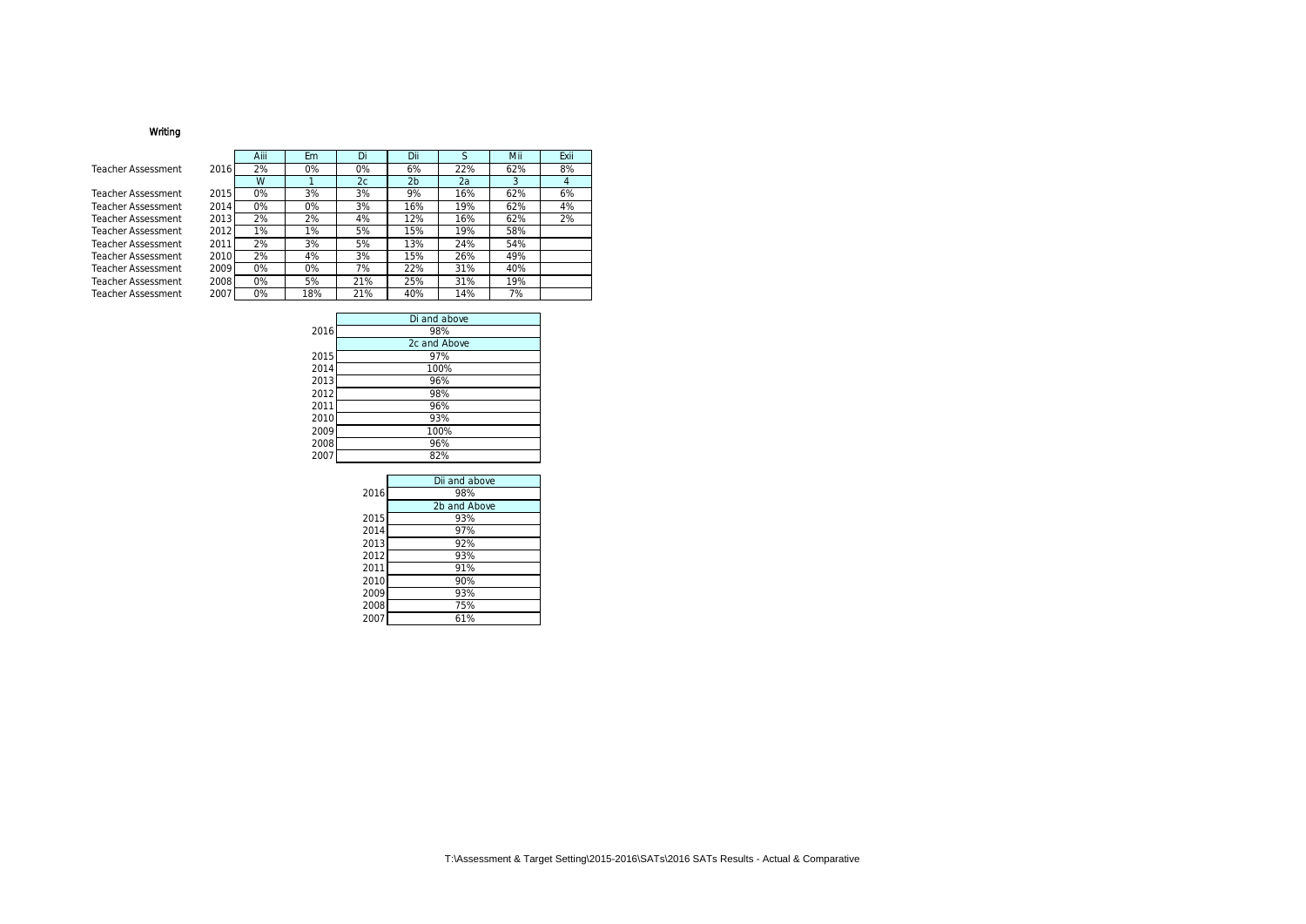## Writing

#### Teacher Assessment

Teacher Assessment Teacher Assessment Teacher Assessment Teacher Assessment Teacher Assessment Teacher Assessment Teacher Assessment Teacher Assessment Teacher Assessment

|      | Aiii | Em  | Di  | Dii            | S   | Mii | Exii           |
|------|------|-----|-----|----------------|-----|-----|----------------|
| 2016 | 2%   | 0%  | 0%  | 6%             | 22% | 62% | 8%             |
|      | W    |     | 2c  | 2 <sub>b</sub> | 2a  | 3   | $\overline{4}$ |
| 2015 | 0%   | 3%  | 3%  | 9%             | 16% | 62% | 6%             |
| 2014 | 0%   | 0%  | 3%  | 16%            | 19% | 62% | 4%             |
| 2013 | 2%   | 2%  | 4%  | 12%            | 16% | 62% | 2%             |
| 2012 | 1%   | 1%  | 5%  | 15%            | 19% | 58% |                |
| 2011 | 2%   | 3%  | 5%  | 13%            | 24% | 54% |                |
| 2010 | 2%   | 4%  | 3%  | 15%            | 26% | 49% |                |
| 2009 | 0%   | 0%  | 7%  | 22%            | 31% | 40% |                |
| 2008 | 0%   | 5%  | 21% | 25%            | 31% | 19% |                |
| 2007 | 0%   | 18% | 21% | 40%            | 14% | 7%  |                |

|      | Di and above |
|------|--------------|
| 2016 | 98%          |
|      | 2c and Above |
| 2015 | 97%          |
| 2014 | 100%         |
| 2013 | 96%          |
| 2012 | 98%          |
| 2011 | 96%          |
| 2010 | 93%          |
| 2009 | 100%         |
| 2008 | 96%          |
| 2007 | 82%          |

|      | Dii and above |
|------|---------------|
| 2016 | 98%           |
|      | 2b and Above  |
| 2015 | 93%           |
| 2014 | 97%           |
| 2013 | 92%           |
| 2012 | 93%           |
| 2011 | 91%           |
| 2010 | 90%           |
| 2009 | 93%           |
| 2008 | 75%           |
| 2007 | 61%           |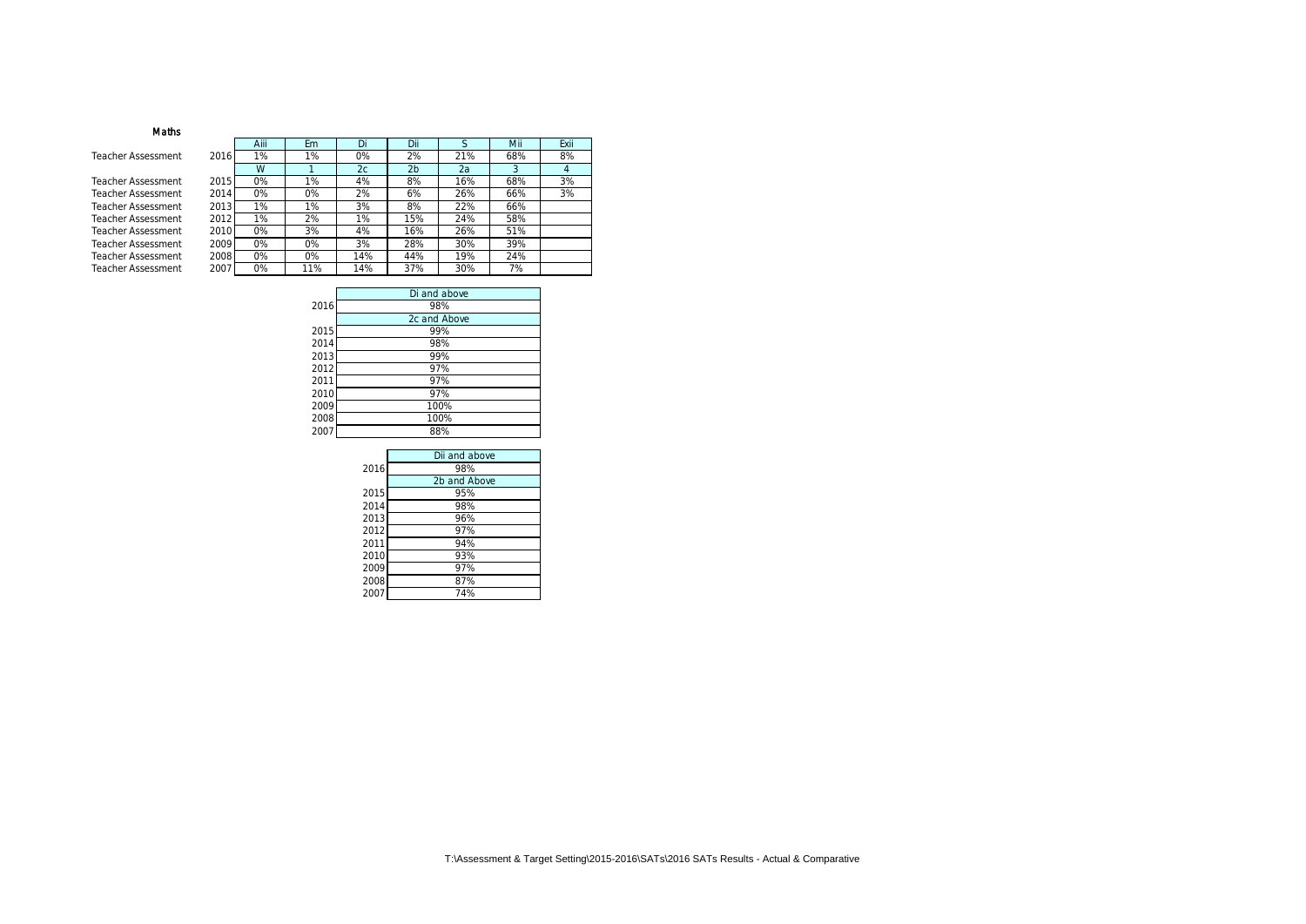### Maths

Teacher Assessment

Teacher Assessment Teacher Assessment Teacher Assessment Teacher Assessment Teacher Assessment Teacher Assessment Teacher Assessment Teacher Assessment

|      | Aiii | Em  | Di  | Dii            | S   | Mii | Exii           |
|------|------|-----|-----|----------------|-----|-----|----------------|
| 2016 | 1%   | 1%  | 0%  | 2%             | 21% | 68% | 8%             |
|      | W    |     | 2c  | 2 <sub>b</sub> | 2a  | 3   | $\overline{4}$ |
| 2015 | 0%   | 1%  | 4%  | 8%             | 16% | 68% | 3%             |
| 2014 | 0%   | 0%  | 2%  | 6%             | 26% | 66% | 3%             |
| 2013 | 1%   | 1%  | 3%  | 8%             | 22% | 66% |                |
| 2012 | 1%   | 2%  | 1%  | 15%            | 24% | 58% |                |
| 2010 | 0%   | 3%  | 4%  | 16%            | 26% | 51% |                |
| 2009 | 0%   | 0%  | 3%  | 28%            | 30% | 39% |                |
| 2008 | 0%   | 0%  | 14% | 44%            | 19% | 24% |                |
| 2007 | 0%   | 11% | 14% | 37%            | 30% | 7%  |                |

|      | Di and above |
|------|--------------|
| 2016 | 98%          |
|      | 2c and Above |
| 2015 | 99%          |
| 2014 | 98%          |
| 2013 | 99%          |
| 2012 | 97%          |
| 2011 | 97%          |
| 2010 | 97%          |
| 2009 | 100%         |
| 2008 | 100%         |
| 2007 | 88%          |
|      |              |

|      | Dii and above |
|------|---------------|
| 2016 | 98%           |
|      | 2b and Above  |
| 2015 | 95%           |
| 2014 | 98%           |
| 2013 | 96%           |
| 2012 | 97%           |
| 2011 | 94%           |
| 2010 | 93%           |
| 2009 | 97%           |
| 2008 | 87%           |
| 2007 | 74%           |